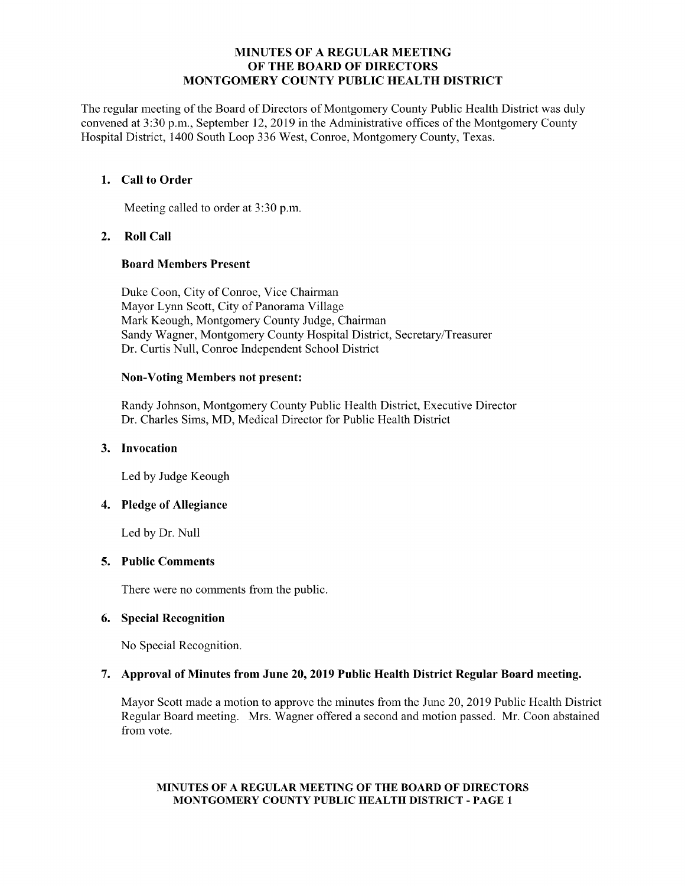### MINUTES OF A REGULAR MEETING OF THE BOARD OF DIRECTORS MONTGOMERY COUNTY PUBLIC HEALTH DISTRICT

The regular meeting of the Board of Directors of Montgomery County Public Health District was duly convened at 3:30 p.m., September 12, 2019 in the Administrative offices of the Montgomery County Hospital District, 1400 South Loop 336 West, Conroe, Montgomery County, Texas.

## 1. Call to Order

Meeting called to order at 3:30 p.m.

# 2. Roll Call

### Board Members Present

Duke Coon, City of Conroe, Vice Chairman Mayor Lynn Scott, City of Panorama Village Mark Keough, Montgomery County Judge, Chairman Sandy Wagner, Montgomery County Hospital District, Secretary/Treasurer Dr. Curtis Null, Conroe Independent School District

#### Non-Voting Members not present:

Randy Johnson, Montgomery County Public Health District, Executive Director Dr. Charles Sims, MD, Medical Director for Public Health District

### 3. Invocation

Led by Judge Keough

# 4. Pledge of Allegiance

Led by Dr. Null

### 5. Public Comments

There were no comments from the public.

### 6. Special Recognition

No Special Recognition.

### 7. Approval of Minutes from June 20, 2019 Public Health District Regular Board meeting.

Mayor Scott made a motion to approve the minutes from the June 20, 2019 Public Health District Regular Board meeting. Mrs. Wagner offered a second and motion passed. Mr. Coon abstained from vote.

#### MINUTES OF A REGULAR MEETING OF THE BOARD OF DIRECTORS MONTGOMERY COUNTY PUBLIC HEALTH DISTRICT - PAGE 1